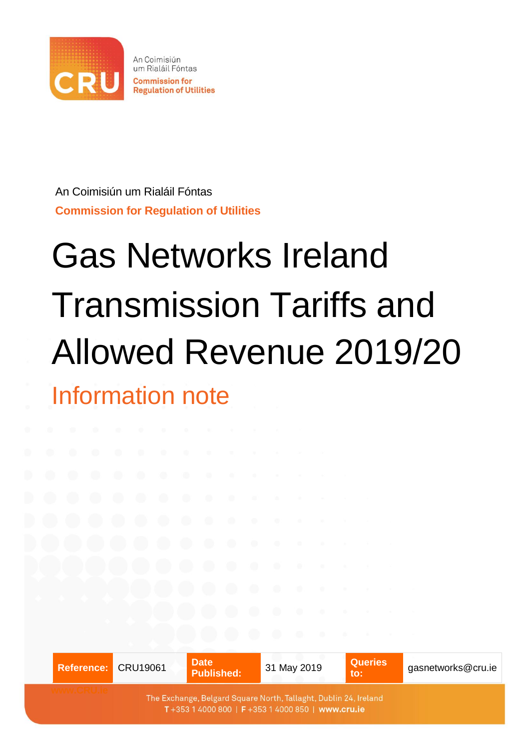

An Coimisiún um Rialáil Fóntas **Commission for Regulation of Utilities** 

An Coimisiún um Rialáil Fóntas **Commission for Regulation of Utilities**

# Gas Networks Ireland Transmission Tariffs and Allowed Revenue 2019/20 Information note

|                                                                                                                        | <b>Date</b><br>Reference: CRU19061<br><b>Published:</b> |  | 31 May 2019 | <b>Queries</b><br>$\mathbf{to}$ : | gasnetworks@cru.ie |  |
|------------------------------------------------------------------------------------------------------------------------|---------------------------------------------------------|--|-------------|-----------------------------------|--------------------|--|
| The Exchange, Belgard Square North, Tallaght, Dublin 24, Ireland<br>T +353 1 4000 800   F +353 1 4000 850   www.cru.ie |                                                         |  |             |                                   |                    |  |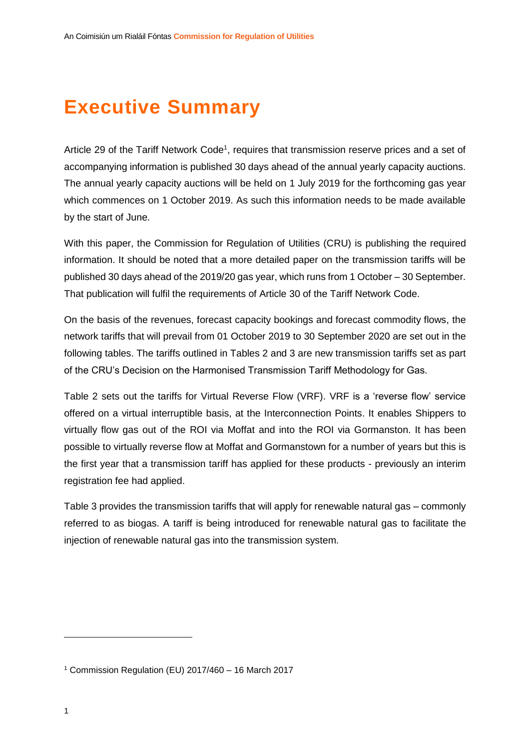# **Executive Summary**

Article 29 of the Tariff Network Code<sup>1</sup>, requires that transmission reserve prices and a set of accompanying information is published 30 days ahead of the annual yearly capacity auctions. The annual yearly capacity auctions will be held on 1 July 2019 for the forthcoming gas year which commences on 1 October 2019. As such this information needs to be made available by the start of June.

With this paper, the Commission for Regulation of Utilities (CRU) is publishing the required information. It should be noted that a more detailed paper on the transmission tariffs will be published 30 days ahead of the 2019/20 gas year, which runs from 1 October – 30 September. That publication will fulfil the requirements of Article 30 of the Tariff Network Code.

On the basis of the revenues, forecast capacity bookings and forecast commodity flows, the network tariffs that will prevail from 01 October 2019 to 30 September 2020 are set out in the following tables. The tariffs outlined in Tables 2 and 3 are new transmission tariffs set as part of the CRU's Decision on the Harmonised Transmission Tariff Methodology for Gas.

Table 2 sets out the tariffs for Virtual Reverse Flow (VRF). VRF is a 'reverse flow' service offered on a virtual interruptible basis, at the Interconnection Points. It enables Shippers to virtually flow gas out of the ROI via Moffat and into the ROI via Gormanston. It has been possible to virtually reverse flow at Moffat and Gormanstown for a number of years but this is the first year that a transmission tariff has applied for these products - previously an interim registration fee had applied.

Table 3 provides the transmission tariffs that will apply for renewable natural gas – commonly referred to as biogas. A tariff is being introduced for renewable natural gas to facilitate the injection of renewable natural gas into the transmission system.

 $\overline{a}$ 

<sup>1</sup> Commission Regulation (EU) 2017/460 – 16 March 2017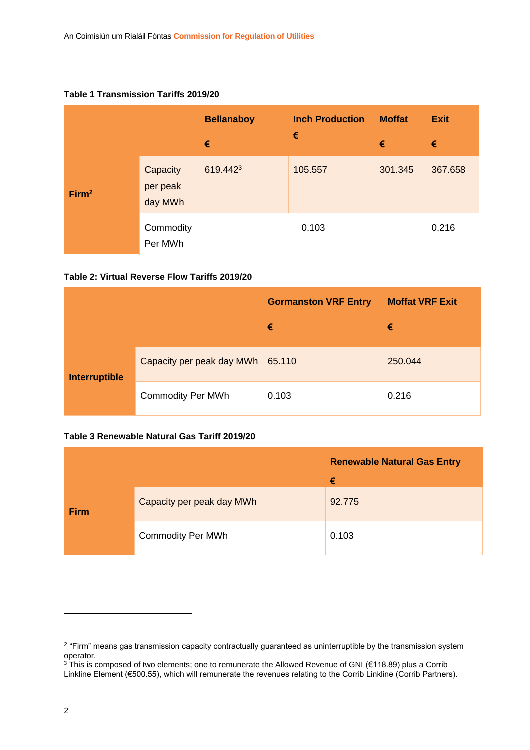#### **Table 1 Transmission Tariffs 2019/20**

|                   |                                 | <b>Bellanaboy</b> | <b>Inch Production</b><br>€ | <b>Moffat</b> | <b>Exit</b> |
|-------------------|---------------------------------|-------------------|-----------------------------|---------------|-------------|
|                   |                                 | €                 |                             | €             | €           |
| Firm <sup>2</sup> | Capacity<br>per peak<br>day MWh | 619.4423          | 105.557                     | 301.345       | 367.658     |
|                   | Commodity<br>Per MWh            |                   | 0.103                       |               | 0.216       |

#### **Table 2: Virtual Reverse Flow Tariffs 2019/20**

|                      |                           | <b>Gormanston VRF Entry</b> | <b>Moffat VRF Exit</b> |  |
|----------------------|---------------------------|-----------------------------|------------------------|--|
|                      |                           | €                           | €                      |  |
| <b>Interruptible</b> | Capacity per peak day MWh | 65.110                      | 250.044                |  |
|                      | <b>Commodity Per MWh</b>  | 0.103                       | 0.216                  |  |

#### **Table 3 Renewable Natural Gas Tariff 2019/20**

|             |                           | <b>Renewable Natural Gas Entry</b> |  |
|-------------|---------------------------|------------------------------------|--|
|             |                           | €                                  |  |
| <b>Firm</b> | Capacity per peak day MWh | 92.775                             |  |
|             | <b>Commodity Per MWh</b>  | 0.103                              |  |

**.** 

<sup>&</sup>lt;sup>2</sup> "Firm" means gas transmission capacity contractually guaranteed as uninterruptible by the transmission system operator.

<sup>&</sup>lt;sup>3</sup> This is composed of two elements; one to remunerate the Allowed Revenue of GNI (€118.89) plus a Corrib Linkline Element (€500.55), which will remunerate the revenues relating to the Corrib Linkline (Corrib Partners).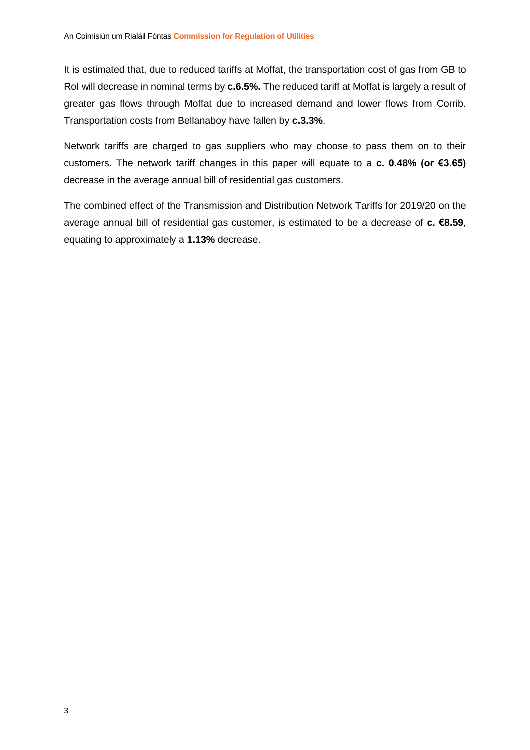It is estimated that, due to reduced tariffs at Moffat, the transportation cost of gas from GB to RoI will decrease in nominal terms by **c.6.5%.** The reduced tariff at Moffat is largely a result of greater gas flows through Moffat due to increased demand and lower flows from Corrib. Transportation costs from Bellanaboy have fallen by **c.3.3%**.

Network tariffs are charged to gas suppliers who may choose to pass them on to their customers. The network tariff changes in this paper will equate to a **c. 0.48% (or €3.65)** decrease in the average annual bill of residential gas customers.

The combined effect of the Transmission and Distribution Network Tariffs for 2019/20 on the average annual bill of residential gas customer, is estimated to be a decrease of **c. €8.59**, equating to approximately a **1.13%** decrease.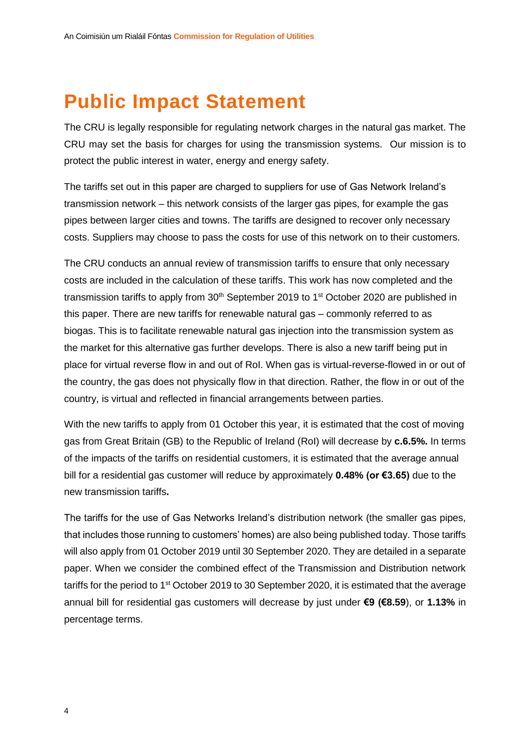# **Public Impact Statement**

The CRU is legally responsible for regulating network charges in the natural gas market. The CRU may set the basis for charges for using the transmission systems. Our mission is to protect the public interest in water, energy and energy safety.

The tariffs set out in this paper are charged to suppliers for use of Gas Network Ireland's transmission network – this network consists of the larger gas pipes, for example the gas pipes between larger cities and towns. The tariffs are designed to recover only necessary costs. Suppliers may choose to pass the costs for use of this network on to their customers.

The CRU conducts an annual review of transmission tariffs to ensure that only necessary costs are included in the calculation of these tariffs. This work has now completed and the transmission tariffs to apply from  $30<sup>th</sup>$  September 2019 to 1<sup>st</sup> October 2020 are published in this paper. There are new tariffs for renewable natural gas – commonly referred to as biogas. This is to facilitate renewable natural gas injection into the transmission system as the market for this alternative gas further develops. There is also a new tariff being put in place for virtual reverse flow in and out of RoI. When gas is virtual-reverse-flowed in or out of the country, the gas does not physically flow in that direction. Rather, the flow in or out of the country, is virtual and reflected in financial arrangements between parties.

With the new tariffs to apply from 01 October this year, it is estimated that the cost of moving gas from Great Britain (GB) to the Republic of Ireland (RoI) will decrease by **c.6.5%.** In terms of the impacts of the tariffs on residential customers, it is estimated that the average annual bill for a residential gas customer will reduce by approximately **0.48% (or €3.65)** due to the new transmission tariffs**.**

The tariffs for the use of Gas Networks Ireland's distribution network (the smaller gas pipes, that includes those running to customers' homes) are also being published today. Those tariffs will also apply from 01 October 2019 until 30 September 2020. They are detailed in a separate paper. When we consider the combined effect of the Transmission and Distribution network tariffs for the period to 1<sup>st</sup> October 2019 to 30 September 2020, it is estimated that the average annual bill for residential gas customers will decrease by just under **€9 (€8.59**), or **1.13%** in percentage terms.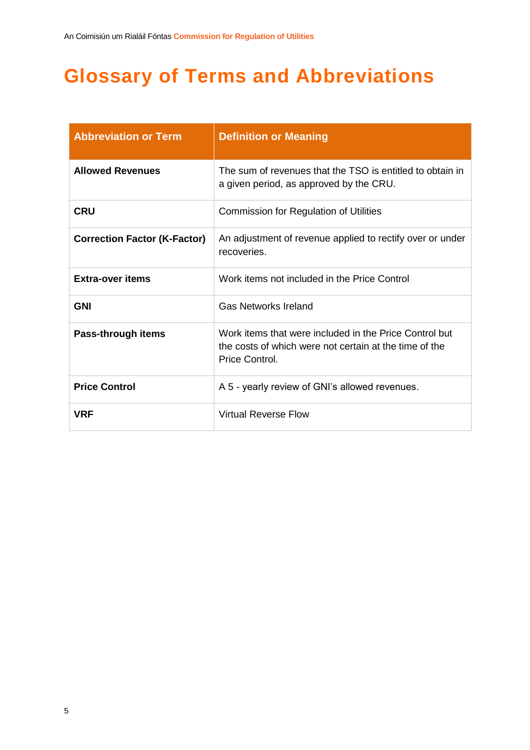# **Glossary of Terms and Abbreviations**

| <b>Abbreviation or Term</b>         | <b>Definition or Meaning</b>                                                                                                       |
|-------------------------------------|------------------------------------------------------------------------------------------------------------------------------------|
| <b>Allowed Revenues</b>             | The sum of revenues that the TSO is entitled to obtain in<br>a given period, as approved by the CRU.                               |
| <b>CRU</b>                          | <b>Commission for Regulation of Utilities</b>                                                                                      |
| <b>Correction Factor (K-Factor)</b> | An adjustment of revenue applied to rectify over or under<br>recoveries.                                                           |
| <b>Extra-over items</b>             | Work items not included in the Price Control                                                                                       |
| <b>GNI</b>                          | <b>Gas Networks Ireland</b>                                                                                                        |
| Pass-through items                  | Work items that were included in the Price Control but<br>the costs of which were not certain at the time of the<br>Price Control. |
| <b>Price Control</b>                | A 5 - yearly review of GNI's allowed revenues.                                                                                     |
| VRF                                 | <b>Virtual Reverse Flow</b>                                                                                                        |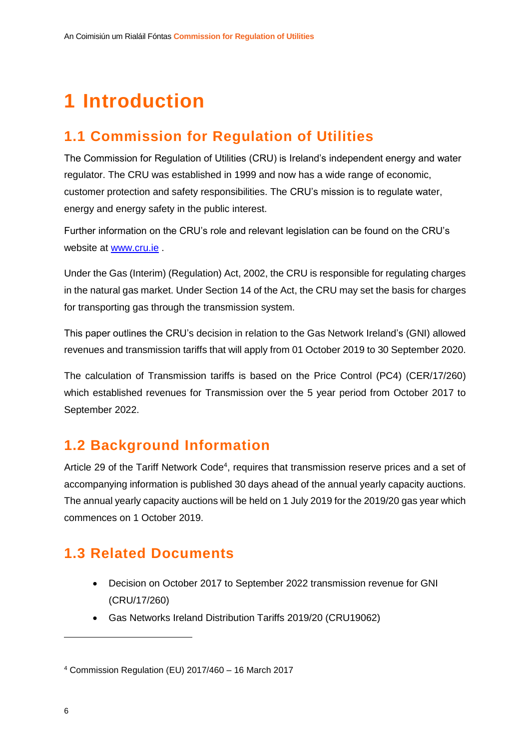# **1 Introduction**

# **1.1 Commission for Regulation of Utilities**

The Commission for Regulation of Utilities (CRU) is Ireland's independent energy and water regulator. The CRU was established in 1999 and now has a wide range of economic, customer protection and safety responsibilities. The CRU's mission is to regulate water, energy and energy safety in the public interest.

Further information on the CRU's role and relevant legislation can be found on the CRU's website at [www.cru.ie](http://www.cru.ie/) .

Under the Gas (Interim) (Regulation) Act, 2002, the CRU is responsible for regulating charges in the natural gas market. Under Section 14 of the Act, the CRU may set the basis for charges for transporting gas through the transmission system.

This paper outlines the CRU's decision in relation to the Gas Network Ireland's (GNI) allowed revenues and transmission tariffs that will apply from 01 October 2019 to 30 September 2020.

The calculation of Transmission tariffs is based on the Price Control (PC4) (CER/17/260) which established revenues for Transmission over the 5 year period from October 2017 to September 2022.

## **1.2 Background Information**

Article 29 of the Tariff Network Code<sup>4</sup>, requires that transmission reserve prices and a set of accompanying information is published 30 days ahead of the annual yearly capacity auctions. The annual yearly capacity auctions will be held on 1 July 2019 for the 2019/20 gas year which commences on 1 October 2019.

# **1.3 Related Documents**

- Decision on October 2017 to September 2022 transmission revenue for GNI (CRU/17/260)
- Gas Networks Ireland Distribution Tariffs 2019/20 (CRU19062)

 $\overline{a}$ 

<sup>4</sup> Commission Regulation (EU) 2017/460 – 16 March 2017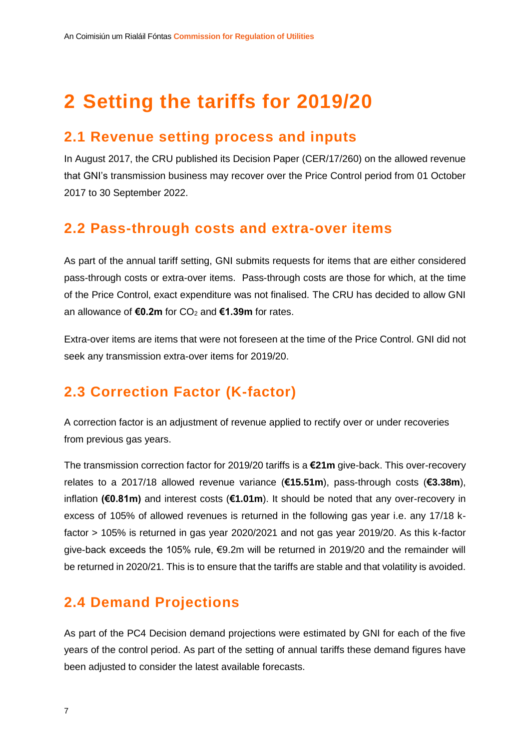# **2 Setting the tariffs for 2019/20**

## **2.1 Revenue setting process and inputs**

In August 2017, the CRU published its Decision Paper (CER/17/260) on the allowed revenue that GNI's transmission business may recover over the Price Control period from 01 October 2017 to 30 September 2022.

## **2.2 Pass-through costs and extra-over items**

As part of the annual tariff setting, GNI submits requests for items that are either considered pass-through costs or extra-over items. Pass-through costs are those for which, at the time of the Price Control, exact expenditure was not finalised. The CRU has decided to allow GNI an allowance of **€0.2m** for CO<sub>2</sub> and **€1.39m** for rates.

Extra-over items are items that were not foreseen at the time of the Price Control. GNI did not seek any transmission extra-over items for 2019/20.

# **2.3 Correction Factor (K-factor)**

A correction factor is an adjustment of revenue applied to rectify over or under recoveries from previous gas years.

The transmission correction factor for 2019/20 tariffs is a **€21m** give-back. This over-recovery relates to a 2017/18 allowed revenue variance (**€15.51m**), pass-through costs (**€3.38m**), inflation **(€0.81m)** and interest costs (**€1.01m**). It should be noted that any over-recovery in excess of 105% of allowed revenues is returned in the following gas year i.e. any 17/18 kfactor > 105% is returned in gas year 2020/2021 and not gas year 2019/20. As this k-factor give-back exceeds the 105% rule, €9.2m will be returned in 2019/20 and the remainder will be returned in 2020/21. This is to ensure that the tariffs are stable and that volatility is avoided.

# **2.4 Demand Projections**

As part of the PC4 Decision demand projections were estimated by GNI for each of the five years of the control period. As part of the setting of annual tariffs these demand figures have been adjusted to consider the latest available forecasts.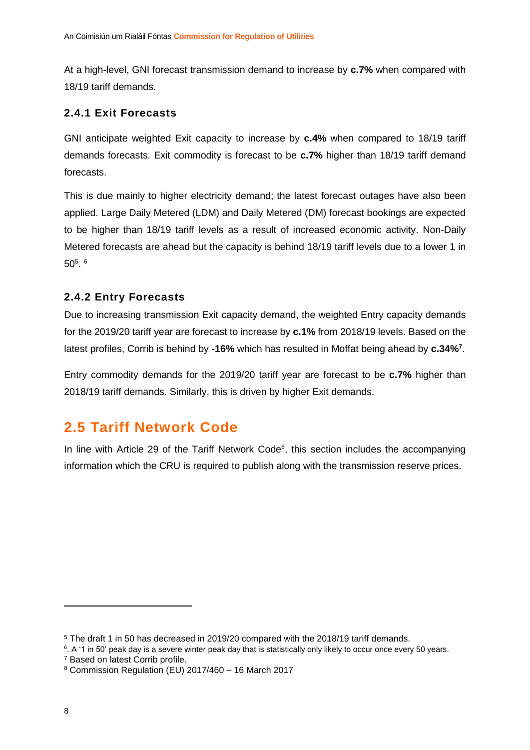At a high-level, GNI forecast transmission demand to increase by **c.7%** when compared with 18/19 tariff demands.

#### **2.4.1 Exit Forecasts**

GNI anticipate weighted Exit capacity to increase by **c.4%** when compared to 18/19 tariff demands forecasts. Exit commodity is forecast to be **c.7%** higher than 18/19 tariff demand forecasts.

This is due mainly to higher electricity demand; the latest forecast outages have also been applied. Large Daily Metered (LDM) and Daily Metered (DM) forecast bookings are expected to be higher than 18/19 tariff levels as a result of increased economic activity. Non-Daily Metered forecasts are ahead but the capacity is behind 18/19 tariff levels due to a lower 1 in  $50^5$ .  $^6$ 

#### **2.4.2 Entry Forecasts**

Due to increasing transmission Exit capacity demand, the weighted Entry capacity demands for the 2019/20 tariff year are forecast to increase by **c.1%** from 2018/19 levels. Based on the latest profiles, Corrib is behind by **-16%** which has resulted in Moffat being ahead by **c.34%<sup>7</sup>** .

Entry commodity demands for the 2019/20 tariff year are forecast to be **c.7%** higher than 2018/19 tariff demands. Similarly, this is driven by higher Exit demands.

## **2.5 Tariff Network Code**

In line with Article 29 of the Tariff Network Code<sup>8</sup>, this section includes the accompanying information which the CRU is required to publish along with the transmission reserve prices.

**.** 

<sup>5</sup> The draft 1 in 50 has decreased in 2019/20 compared with the 2018/19 tariff demands.

<sup>6</sup> . A '1 in 50' peak day is a severe winter peak day that is statistically only likely to occur once every 50 years.

<sup>7</sup> Based on latest Corrib profile.

<sup>8</sup> Commission Regulation (EU) 2017/460 – 16 March 2017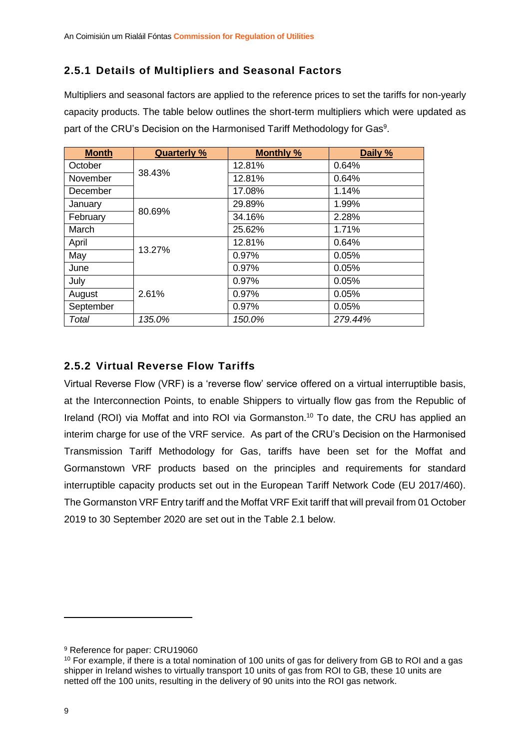### **2.5.1 Details of Multipliers and Seasonal Factors**

Multipliers and seasonal factors are applied to the reference prices to set the tariffs for non-yearly capacity products. The table below outlines the short-term multipliers which were updated as part of the CRU's Decision on the Harmonised Tariff Methodology for Gas<sup>9</sup>.

| <b>Month</b> | <b>Quarterly %</b> | <b>Monthly %</b> | Daily % |
|--------------|--------------------|------------------|---------|
| October      |                    | 12.81%           | 0.64%   |
| November     | 38.43%             | 12.81%           | 0.64%   |
| December     |                    | 17.08%           | 1.14%   |
| January      |                    | 29.89%           | 1.99%   |
| February     | 80.69%             | 34.16%           | 2.28%   |
| March        |                    | 25.62%           | 1.71%   |
| April        |                    | 12.81%           | 0.64%   |
| May          | 13.27%             | 0.97%            | 0.05%   |
| June         |                    | 0.97%            | 0.05%   |
| July         |                    | 0.97%            | 0.05%   |
| August       | 2.61%              | 0.97%            | 0.05%   |
| September    |                    | 0.97%            | 0.05%   |
| Total        | 135.0%             | 150.0%           | 279.44% |

## **2.5.2 Virtual Reverse Flow Tariffs**

Virtual Reverse Flow (VRF) is a 'reverse flow' service offered on a virtual interruptible basis, at the Interconnection Points, to enable Shippers to virtually flow gas from the Republic of Ireland (ROI) via Moffat and into ROI via Gormanston.<sup>10</sup> To date, the CRU has applied an interim charge for use of the VRF service. As part of the CRU's Decision on the Harmonised Transmission Tariff Methodology for Gas, tariffs have been set for the Moffat and Gormanstown VRF products based on the principles and requirements for standard interruptible capacity products set out in the European Tariff Network Code (EU 2017/460). The Gormanston VRF Entry tariff and the Moffat VRF Exit tariff that will prevail from 01 October 2019 to 30 September 2020 are set out in the Table 2.1 below.

1

<sup>9</sup> Reference for paper: [CRU19060](https://www.cru.ie/wp-content/uploads/2012/07/cer12143.pdf)

<sup>10</sup> For example, if there is a total nomination of 100 units of gas for delivery from GB to ROI and a gas shipper in Ireland wishes to virtually transport 10 units of gas from ROI to GB, these 10 units are netted off the 100 units, resulting in the delivery of 90 units into the ROI gas network.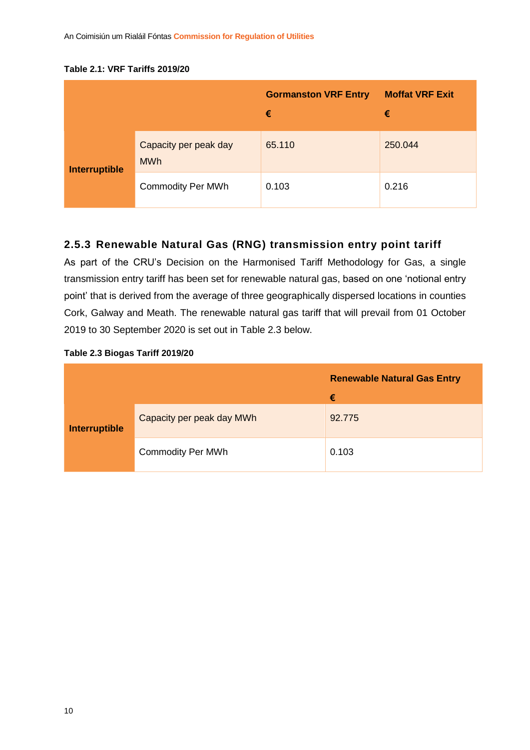#### **Table 2.1: VRF Tariffs 2019/20**

|                      |                                     | <b>Gormanston VRF Entry</b><br>€ | <b>Moffat VRF Exit</b><br>€ |
|----------------------|-------------------------------------|----------------------------------|-----------------------------|
| <b>Interruptible</b> | Capacity per peak day<br><b>MWh</b> | 65.110                           | 250.044                     |
|                      | <b>Commodity Per MWh</b>            | 0.103                            | 0.216                       |

## **2.5.3 Renewable Natural Gas (RNG) transmission entry point tariff**

As part of the CRU's Decision on the Harmonised Tariff Methodology for Gas, a single transmission entry tariff has been set for renewable natural gas, based on one 'notional entry point' that is derived from the average of three geographically dispersed locations in counties Cork, Galway and Meath. The renewable natural gas tariff that will prevail from 01 October 2019 to 30 September 2020 is set out in Table 2.3 below.

|  |  |  | Table 2.3 Biogas Tariff 2019/20 |
|--|--|--|---------------------------------|
|--|--|--|---------------------------------|

|                      |                           | <b>Renewable Natural Gas Entry</b> |
|----------------------|---------------------------|------------------------------------|
|                      |                           | €                                  |
| <b>Interruptible</b> | Capacity per peak day MWh | 92.775                             |
|                      | <b>Commodity Per MWh</b>  | 0.103                              |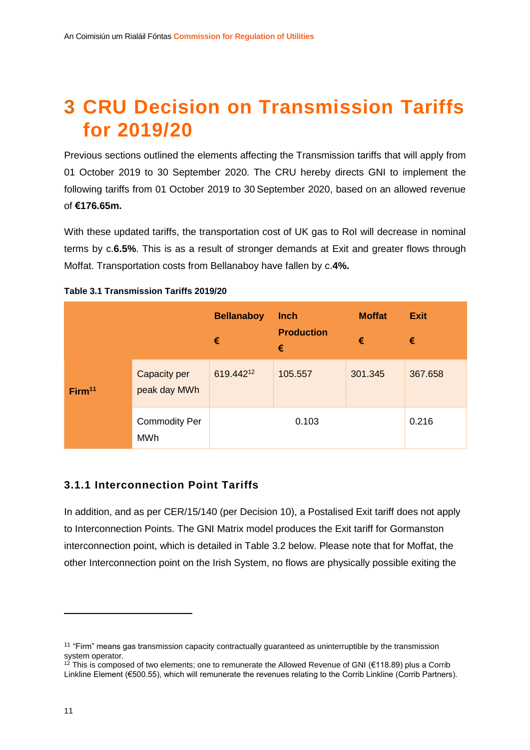# **3 CRU Decision on Transmission Tariffs for 2019/20**

Previous sections outlined the elements affecting the Transmission tariffs that will apply from 01 October 2019 to 30 September 2020. The CRU hereby directs GNI to implement the following tariffs from 01 October 2019 to 30 September 2020, based on an allowed revenue of **€176.65m.**

With these updated tariffs, the transportation cost of UK gas to RoI will decrease in nominal terms by c.**6.5%**. This is as a result of stronger demands at Exit and greater flows through Moffat. Transportation costs from Bellanaboy have fallen by c.**4%.**

|                    |                                    | <b>Bellanaboy</b><br>€ | <b>Inch</b><br><b>Production</b><br>$\epsilon$ | <b>Moffat</b><br>€ | <b>Exit</b><br>€ |
|--------------------|------------------------------------|------------------------|------------------------------------------------|--------------------|------------------|
| Firm <sup>11</sup> | Capacity per<br>peak day MWh       | 619.44212              | 105.557                                        | 301.345            | 367.658          |
|                    | <b>Commodity Per</b><br><b>MWh</b> |                        | 0.103                                          |                    | 0.216            |

#### **Table 3.1 Transmission Tariffs 2019/20**

#### **3.1.1 Interconnection Point Tariffs**

In addition, and as per CER/15/140 (per Decision 10), a Postalised Exit tariff does not apply to Interconnection Points. The GNI Matrix model produces the Exit tariff for Gormanston interconnection point, which is detailed in Table 3.2 below. Please note that for Moffat, the other Interconnection point on the Irish System, no flows are physically possible exiting the

**.** 

<sup>&</sup>lt;sup>11</sup> "Firm" means gas transmission capacity contractually guaranteed as uninterruptible by the transmission system operator.

<sup>&</sup>lt;sup>12</sup> This is composed of two elements; one to remunerate the Allowed Revenue of GNI (€118.89) plus a Corrib Linkline Element (€500.55), which will remunerate the revenues relating to the Corrib Linkline (Corrib Partners).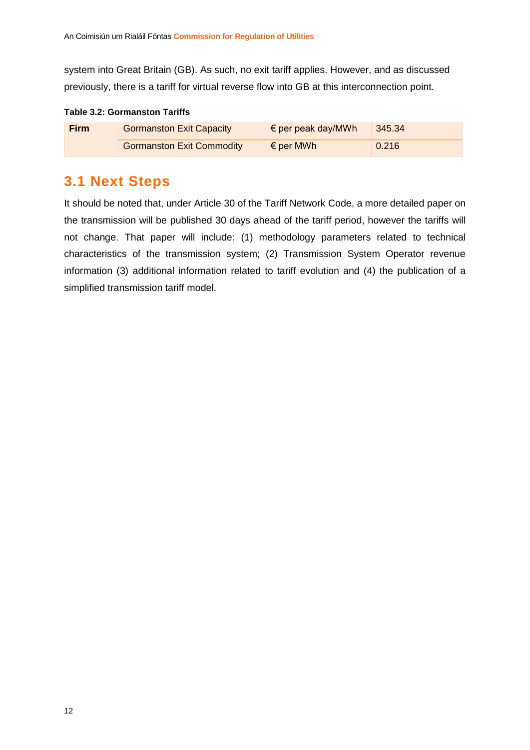system into Great Britain (GB). As such, no exit tariff applies. However, and as discussed previously, there is a tariff for virtual reverse flow into GB at this interconnection point.

#### **Table 3.2: Gormanston Tariffs**

| <b>Firm</b> | <b>Gormanston Exit Capacity</b>  | $\epsilon$ per peak day/MWh | 345.34 |  |
|-------------|----------------------------------|-----------------------------|--------|--|
|             | <b>Gormanston Exit Commodity</b> | $\epsilon$ per MWh          | 0.216  |  |

## **3.1 Next Steps**

It should be noted that, under Article 30 of the Tariff Network Code, a more detailed paper on the transmission will be published 30 days ahead of the tariff period, however the tariffs will not change. That paper will include: (1) methodology parameters related to technical characteristics of the transmission system; (2) Transmission System Operator revenue information (3) additional information related to tariff evolution and (4) the publication of a simplified transmission tariff model.